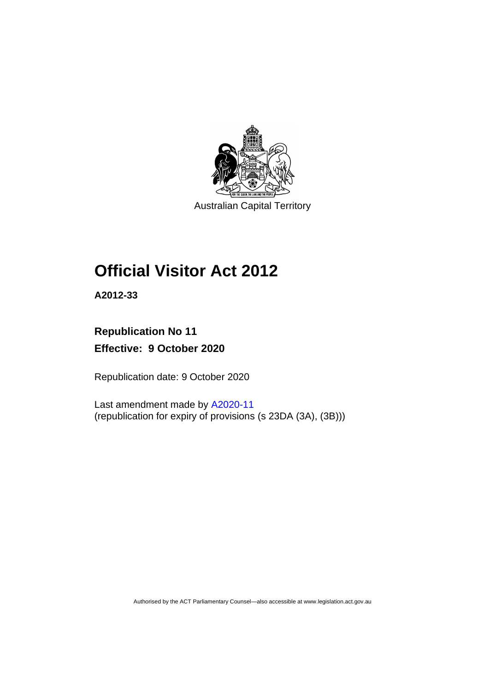

Australian Capital Territory

# **Official Visitor Act 2012**

**A2012-33**

### **Republication No 11 Effective: 9 October 2020**

Republication date: 9 October 2020

Last amendment made by [A2020-11](http://www.legislation.act.gov.au/a/2020-11/#history) (republication for expiry of provisions (s 23DA (3A), (3B)))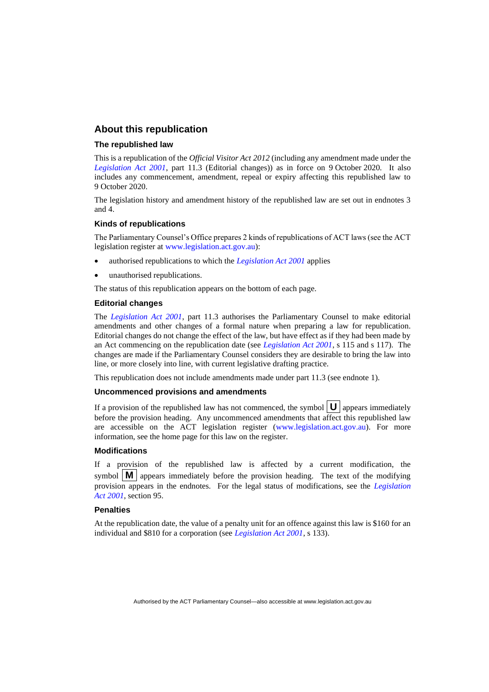#### **About this republication**

#### **The republished law**

This is a republication of the *Official Visitor Act 2012* (including any amendment made under the *[Legislation Act 2001](http://www.legislation.act.gov.au/a/2001-14)*, part 11.3 (Editorial changes)) as in force on 9 October 2020*.* It also includes any commencement, amendment, repeal or expiry affecting this republished law to 9 October 2020.

The legislation history and amendment history of the republished law are set out in endnotes 3 and 4.

#### **Kinds of republications**

The Parliamentary Counsel's Office prepares 2 kinds of republications of ACT laws (see the ACT legislation register at [www.legislation.act.gov.au\)](http://www.legislation.act.gov.au/):

- authorised republications to which the *[Legislation Act 2001](http://www.legislation.act.gov.au/a/2001-14)* applies
- unauthorised republications.

The status of this republication appears on the bottom of each page.

#### **Editorial changes**

The *[Legislation Act 2001](http://www.legislation.act.gov.au/a/2001-14)*, part 11.3 authorises the Parliamentary Counsel to make editorial amendments and other changes of a formal nature when preparing a law for republication. Editorial changes do not change the effect of the law, but have effect as if they had been made by an Act commencing on the republication date (see *[Legislation Act 2001](http://www.legislation.act.gov.au/a/2001-14)*, s 115 and s 117). The changes are made if the Parliamentary Counsel considers they are desirable to bring the law into line, or more closely into line, with current legislative drafting practice.

This republication does not include amendments made under part 11.3 (see endnote 1).

#### **Uncommenced provisions and amendments**

If a provision of the republished law has not commenced, the symbol  $\mathbf{U}$  appears immediately before the provision heading. Any uncommenced amendments that affect this republished law are accessible on the ACT legislation register [\(www.legislation.act.gov.au\)](http://www.legislation.act.gov.au/). For more information, see the home page for this law on the register.

#### **Modifications**

If a provision of the republished law is affected by a current modification, the symbol  $\mathbf{M}$  appears immediately before the provision heading. The text of the modifying provision appears in the endnotes. For the legal status of modifications, see the *[Legislation](http://www.legislation.act.gov.au/a/2001-14)  Act [2001](http://www.legislation.act.gov.au/a/2001-14)*, section 95.

#### **Penalties**

At the republication date, the value of a penalty unit for an offence against this law is \$160 for an individual and \$810 for a corporation (see *[Legislation Act 2001](http://www.legislation.act.gov.au/a/2001-14)*, s 133).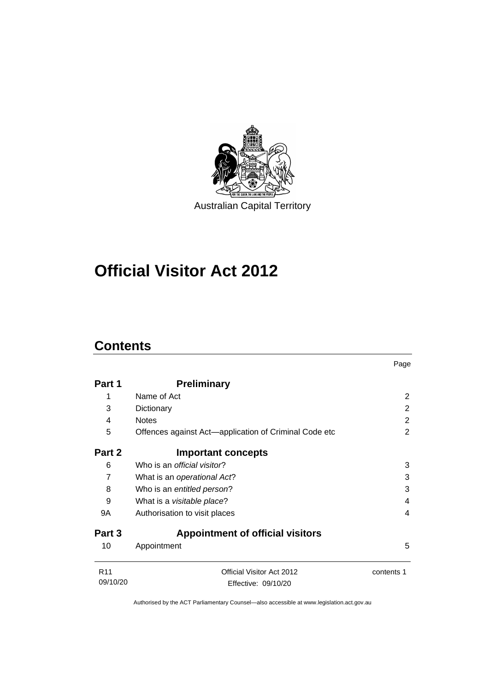

# **Official Visitor Act 2012**

### **Contents**

|                             |                                                       | Page       |
|-----------------------------|-------------------------------------------------------|------------|
| Part 1                      | <b>Preliminary</b>                                    |            |
| 1                           | Name of Act                                           | 2          |
| 3                           | Dictionary                                            | 2          |
| 4                           | <b>Notes</b>                                          | 2          |
| 5                           | Offences against Act-application of Criminal Code etc | 2          |
| Part 2                      | <b>Important concepts</b>                             |            |
| 6                           | Who is an <i>official visitor</i> ?                   | 3          |
| $\overline{7}$              | What is an operational Act?                           | 3          |
| 8                           | Who is an entitled person?                            | 3          |
| 9                           | What is a visitable place?                            | 4          |
| 9A                          | Authorisation to visit places                         | 4          |
| Part 3                      | <b>Appointment of official visitors</b>               |            |
| 10                          | Appointment                                           | 5          |
| R <sub>11</sub><br>09/10/20 | Official Visitor Act 2012<br>Effective: 09/10/20      | contents 1 |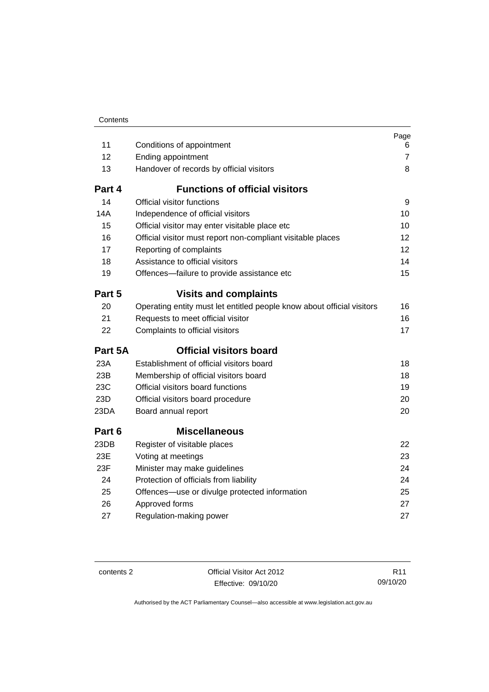| Contents |
|----------|

| 11      |                                                                        | Page                |
|---------|------------------------------------------------------------------------|---------------------|
| 12      | Conditions of appointment<br>Ending appointment                        | 6<br>$\overline{7}$ |
| 13      | Handover of records by official visitors                               | 8                   |
| Part 4  | <b>Functions of official visitors</b>                                  |                     |
| 14      | Official visitor functions                                             | 9                   |
| 14A     | Independence of official visitors                                      | 10                  |
| 15      | Official visitor may enter visitable place etc                         | 10                  |
| 16      | Official visitor must report non-compliant visitable places            | 12                  |
| 17      | Reporting of complaints                                                | 12                  |
| 18      | Assistance to official visitors                                        | 14                  |
| 19      | Offences-failure to provide assistance etc                             | 15                  |
| Part 5  | <b>Visits and complaints</b>                                           |                     |
| 20      | Operating entity must let entitled people know about official visitors | 16                  |
| 21      | Requests to meet official visitor                                      | 16                  |
| 22      | Complaints to official visitors                                        | 17                  |
| Part 5A | <b>Official visitors board</b>                                         |                     |
| 23A     | Establishment of official visitors board                               | 18                  |
| 23B     | Membership of official visitors board                                  | 18                  |
| 23C     | Official visitors board functions                                      | 19                  |
| 23D     | Official visitors board procedure                                      | 20                  |
| 23DA    | Board annual report                                                    | 20                  |
| Part 6  | <b>Miscellaneous</b>                                                   |                     |
| 23DB    | Register of visitable places                                           | 22                  |
| 23E     | Voting at meetings                                                     | 23                  |
| 23F     | Minister may make guidelines                                           | 24                  |
| 24      | Protection of officials from liability                                 | 24                  |
| 25      | Offences-use or divulge protected information                          | 25                  |
| 26      | Approved forms                                                         | 27                  |
| 27      | Regulation-making power                                                | 27                  |

contents 2 Official Visitor Act 2012 Effective: 09/10/20

R11 09/10/20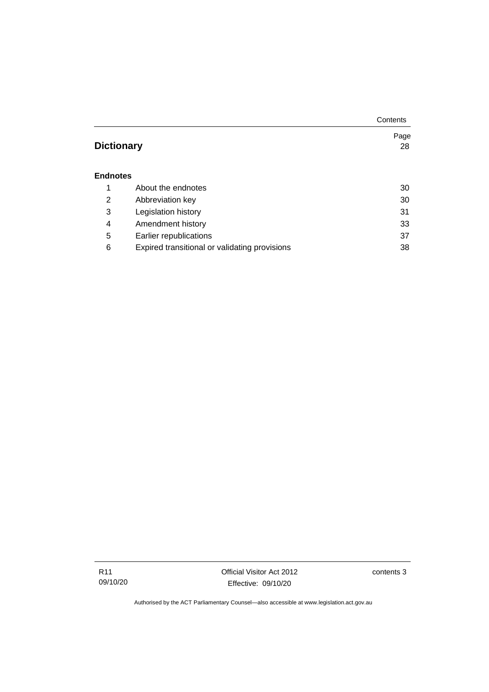|                   |                                               | Contents |
|-------------------|-----------------------------------------------|----------|
|                   |                                               | Page     |
| <b>Dictionary</b> |                                               | 28       |
|                   |                                               |          |
| <b>Endnotes</b>   |                                               |          |
| 1                 | About the endnotes                            | 30       |
| 2                 | Abbreviation key                              | 30       |
| 3                 | Legislation history                           | 31       |
| 4                 | Amendment history                             | 33       |
| 5                 | Earlier republications                        | 37       |
| 6                 | Expired transitional or validating provisions | 38       |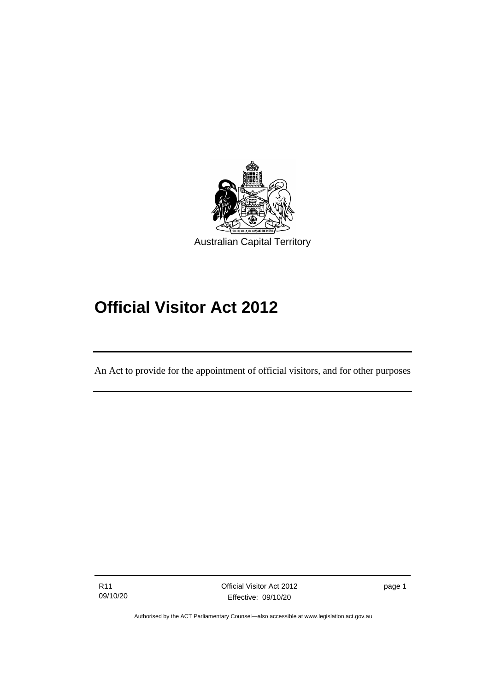

# **Official Visitor Act 2012**

An Act to provide for the appointment of official visitors, and for other purposes

R11 09/10/20

ׅ֖֖֚֚֡֡֬֝֬

page 1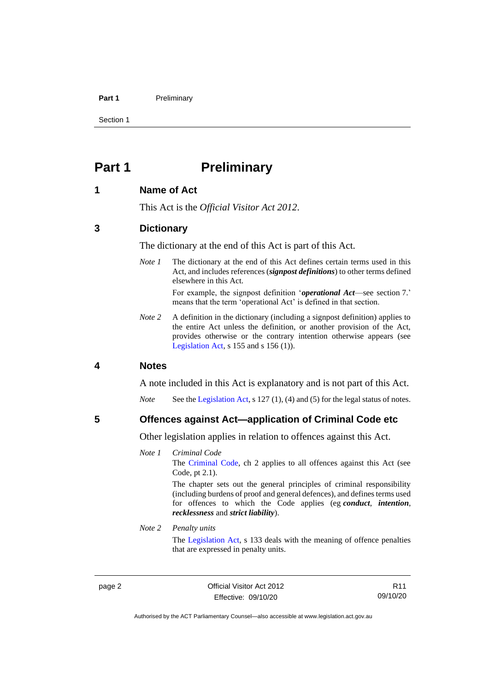#### **Part 1** Preliminary

Section 1

### <span id="page-7-0"></span>**Part 1 Preliminary**

#### <span id="page-7-1"></span>**1 Name of Act**

This Act is the *Official Visitor Act 2012*.

#### <span id="page-7-2"></span>**3 Dictionary**

The dictionary at the end of this Act is part of this Act.

*Note 1* The dictionary at the end of this Act defines certain terms used in this Act, and includes references (*signpost definitions*) to other terms defined elsewhere in this Act.

> For example, the signpost definition '*operational Act*—see section 7.' means that the term 'operational Act' is defined in that section.

*Note 2* A definition in the dictionary (including a signpost definition) applies to the entire Act unless the definition, or another provision of the Act, provides otherwise or the contrary intention otherwise appears (see [Legislation Act,](http://www.legislation.act.gov.au/a/2001-14) s 155 and s 156 (1)).

#### <span id="page-7-3"></span>**4 Notes**

A note included in this Act is explanatory and is not part of this Act.

*Note* See the [Legislation Act,](http://www.legislation.act.gov.au/a/2001-14) s 127 (1), (4) and (5) for the legal status of notes.

<span id="page-7-4"></span>**5 Offences against Act—application of Criminal Code etc**

Other legislation applies in relation to offences against this Act.

*Note 1 Criminal Code* The [Criminal Code,](http://www.legislation.act.gov.au/a/2002-51) ch 2 applies to all offences against this Act (see Code, pt 2.1). The chapter sets out the general principles of criminal responsibility (including burdens of proof and general defences), and defines terms used

for offences to which the Code applies (eg *conduct*, *intention*, *recklessness* and *strict liability*).

*Note 2 Penalty units*

The [Legislation Act,](http://www.legislation.act.gov.au/a/2001-14) s 133 deals with the meaning of offence penalties that are expressed in penalty units.

page 2 Official Visitor Act 2012 Effective: 09/10/20

R11 09/10/20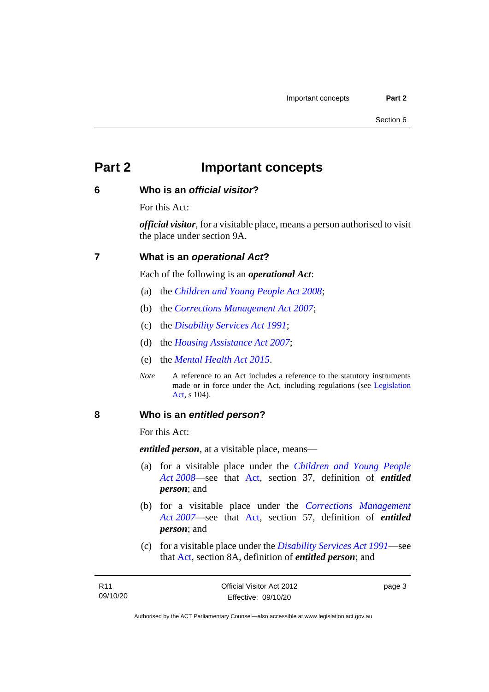### <span id="page-8-0"></span>**Part 2 Important concepts**

#### <span id="page-8-1"></span>**6 Who is an** *official visitor***?**

For this Act:

*official visitor*, for a visitable place, means a person authorised to visit the place under section 9A.

#### <span id="page-8-2"></span>**7 What is an** *operational Act***?**

Each of the following is an *operational Act*:

- (a) the *[Children and Young People Act 2008](http://www.legislation.act.gov.au/a/2008-19)*;
- (b) the *[Corrections Management Act 2007](http://www.legislation.act.gov.au/a/2007-15)*;
- (c) the *[Disability Services Act 1991](http://www.legislation.act.gov.au/a/1991-98)*;
- (d) the *[Housing Assistance Act 2007](http://www.legislation.act.gov.au/a/2007-8)*;
- (e) the *[Mental Health Act 2015](http://www.legislation.act.gov.au/a/2015-38)*.
- *Note* A reference to an Act includes a reference to the statutory instruments made or in force under the Act, including regulations (see [Legislation](http://www.legislation.act.gov.au/a/2001-14)  [Act,](http://www.legislation.act.gov.au/a/2001-14) s 104).

#### <span id="page-8-3"></span>**8 Who is an** *entitled person***?**

For this Act:

*entitled person*, at a visitable place, means—

- (a) for a visitable place under the *[Children and Young People](http://www.legislation.act.gov.au/a/2008-19)  Act [2008](http://www.legislation.act.gov.au/a/2008-19)*—see that [Act,](https://www.legislation.act.gov.au/a/2008-19) section 37, definition of *entitled person*; and
- (b) for a visitable place under the *[Corrections Management](http://www.legislation.act.gov.au/a/2007-15)  Act [2007](http://www.legislation.act.gov.au/a/2007-15)*—see that [Act,](https://www.legislation.act.gov.au/a/2007-15) section 57, definition of *entitled person*; and
- (c) for a visitable place under the *[Disability Services Act 1991](http://www.legislation.act.gov.au/a/1991-98)*—see that [Act,](https://www.legislation.act.gov.au/a/1991-98) section 8A, definition of *entitled person*; and

page 3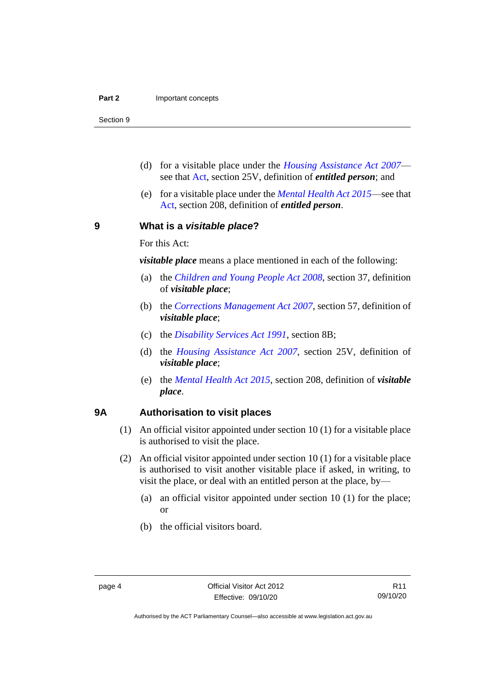Section 9

- (d) for a visitable place under the *[Housing Assistance Act 2007](http://www.legislation.act.gov.au/a/2007-8)* see that [Act,](https://www.legislation.act.gov.au/a/2007-8) section 25V, definition of *entitled person*; and
- (e) for a visitable place under the *[Mental Health Act 2015](http://www.legislation.act.gov.au/a/2015-38)*—see that [Act,](https://www.legislation.act.gov.au/a/2015-38) section 208, definition of *entitled person*.

<span id="page-9-0"></span>**9 What is a** *visitable place***?**

For this Act:

*visitable place* means a place mentioned in each of the following:

- (a) the *[Children and Young People Act](http://www.legislation.act.gov.au/a/2008-19) 2008*, section 37, definition of *visitable place*;
- (b) the *[Corrections Management Act](http://www.legislation.act.gov.au/a/2007-15) 2007*, section 57, definition of *visitable place*;
- (c) the *[Disability Services Act 1991](http://www.legislation.act.gov.au/a/1991-98)*, section 8B;
- (d) the *[Housing Assistance Act 2007](http://www.legislation.act.gov.au/a/2007-8)*, section 25V, definition of *visitable place*;
- (e) the *[Mental Health Act 2015](http://www.legislation.act.gov.au/a/2015-38)*, section 208, definition of *visitable place*.

#### <span id="page-9-1"></span>**9A Authorisation to visit places**

- (1) An official visitor appointed under section 10 (1) for a visitable place is authorised to visit the place.
- (2) An official visitor appointed under section 10 (1) for a visitable place is authorised to visit another visitable place if asked, in writing, to visit the place, or deal with an entitled person at the place, by—
	- (a) an official visitor appointed under section 10 (1) for the place; or
	- (b) the official visitors board.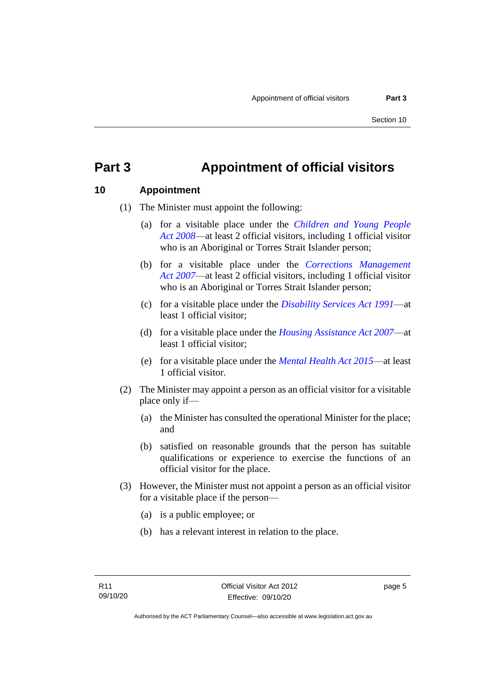### <span id="page-10-0"></span>**Part 3 Appointment of official visitors**

#### <span id="page-10-1"></span>**10 Appointment**

- (1) The Minister must appoint the following:
	- (a) for a visitable place under the *[Children and Young People](http://www.legislation.act.gov.au/a/2008-19)  Act [2008](http://www.legislation.act.gov.au/a/2008-19)*—at least 2 official visitors, including 1 official visitor who is an Aboriginal or Torres Strait Islander person;
	- (b) for a visitable place under the *[Corrections Management](http://www.legislation.act.gov.au/a/2007-15)  Act [2007](http://www.legislation.act.gov.au/a/2007-15)*—at least 2 official visitors, including 1 official visitor who is an Aboriginal or Torres Strait Islander person;
	- (c) for a visitable place under the *[Disability Services Act 1991](http://www.legislation.act.gov.au/a/1991-98)*—at least 1 official visitor;
	- (d) for a visitable place under the *[Housing Assistance Act 2007](http://www.legislation.act.gov.au/a/2007-8)*—at least 1 official visitor;
	- (e) for a visitable place under the *[Mental Health Act 2015](http://www.legislation.act.gov.au/a/2015-38)*—at least 1 official visitor.
- (2) The Minister may appoint a person as an official visitor for a visitable place only if—
	- (a) the Minister has consulted the operational Minister for the place; and
	- (b) satisfied on reasonable grounds that the person has suitable qualifications or experience to exercise the functions of an official visitor for the place.
- (3) However, the Minister must not appoint a person as an official visitor for a visitable place if the person—
	- (a) is a public employee; or
	- (b) has a relevant interest in relation to the place.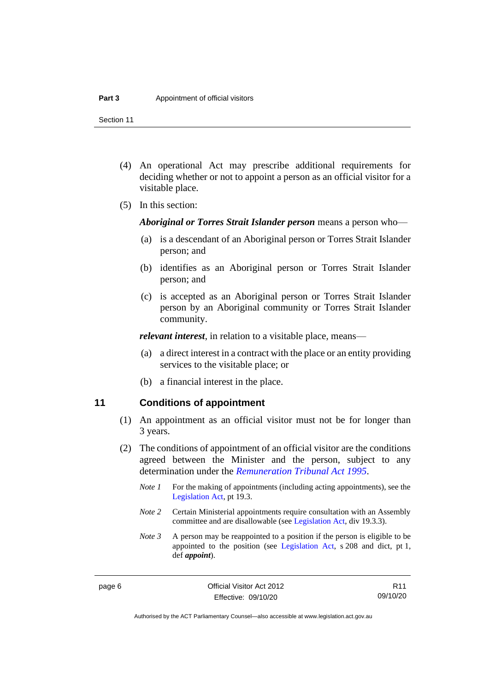Section 11

- (4) An operational Act may prescribe additional requirements for deciding whether or not to appoint a person as an official visitor for a visitable place.
- (5) In this section:

*Aboriginal or Torres Strait Islander person* means a person who—

- (a) is a descendant of an Aboriginal person or Torres Strait Islander person; and
- (b) identifies as an Aboriginal person or Torres Strait Islander person; and
- (c) is accepted as an Aboriginal person or Torres Strait Islander person by an Aboriginal community or Torres Strait Islander community.

*relevant interest*, in relation to a visitable place, means—

- (a) a direct interest in a contract with the place or an entity providing services to the visitable place; or
- (b) a financial interest in the place.

#### <span id="page-11-0"></span>**11 Conditions of appointment**

- (1) An appointment as an official visitor must not be for longer than 3 years.
- (2) The conditions of appointment of an official visitor are the conditions agreed between the Minister and the person, subject to any determination under the *[Remuneration Tribunal Act 1995](http://www.legislation.act.gov.au/a/1995-55)*.
	- *Note 1* For the making of appointments (including acting appointments), see the [Legislation Act,](http://www.legislation.act.gov.au/a/2001-14) pt 19.3.
	- *Note 2* Certain Ministerial appointments require consultation with an Assembly committee and are disallowable (see [Legislation Act,](http://www.legislation.act.gov.au/a/2001-14) div 19.3.3).
	- *Note 3* A person may be reappointed to a position if the person is eligible to be appointed to the position (see [Legislation Act,](http://www.legislation.act.gov.au/a/2001-14) s 208 and dict, pt 1, def *appoint*).

R11 09/10/20

Authorised by the ACT Parliamentary Counsel—also accessible at www.legislation.act.gov.au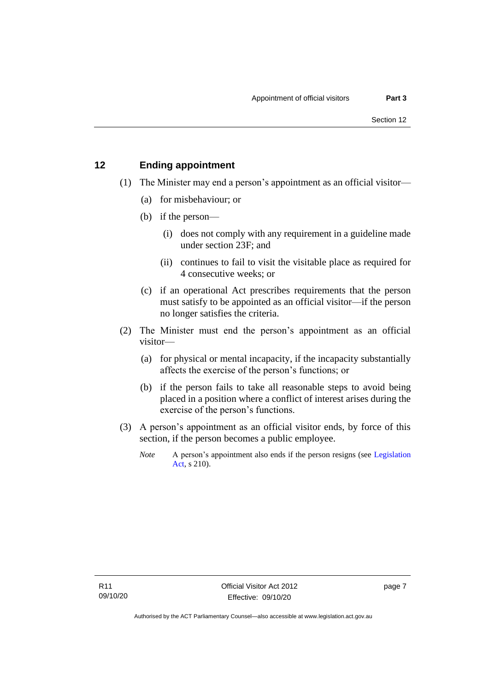### <span id="page-12-0"></span>**12 Ending appointment**

- (1) The Minister may end a person's appointment as an official visitor—
	- (a) for misbehaviour; or
	- (b) if the person—
		- (i) does not comply with any requirement in a guideline made under section 23F; and
		- (ii) continues to fail to visit the visitable place as required for 4 consecutive weeks; or
	- (c) if an operational Act prescribes requirements that the person must satisfy to be appointed as an official visitor—if the person no longer satisfies the criteria.
- (2) The Minister must end the person's appointment as an official visitor—
	- (a) for physical or mental incapacity, if the incapacity substantially affects the exercise of the person's functions; or
	- (b) if the person fails to take all reasonable steps to avoid being placed in a position where a conflict of interest arises during the exercise of the person's functions.
- (3) A person's appointment as an official visitor ends, by force of this section, if the person becomes a public employee.
	- *Note* A person's appointment also ends if the person resigns (see Legislation [Act,](http://www.legislation.act.gov.au/a/2001-14) s 210).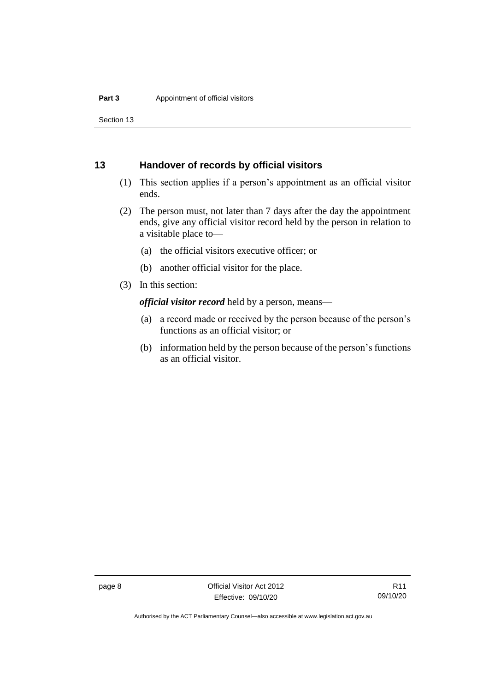Section 13

#### <span id="page-13-0"></span>**13 Handover of records by official visitors**

- (1) This section applies if a person's appointment as an official visitor ends.
- (2) The person must, not later than 7 days after the day the appointment ends, give any official visitor record held by the person in relation to a visitable place to—
	- (a) the official visitors executive officer; or
	- (b) another official visitor for the place.
- (3) In this section:

*official visitor record* held by a person, means—

- (a) a record made or received by the person because of the person's functions as an official visitor; or
- (b) information held by the person because of the person's functions as an official visitor.

Authorised by the ACT Parliamentary Counsel—also accessible at www.legislation.act.gov.au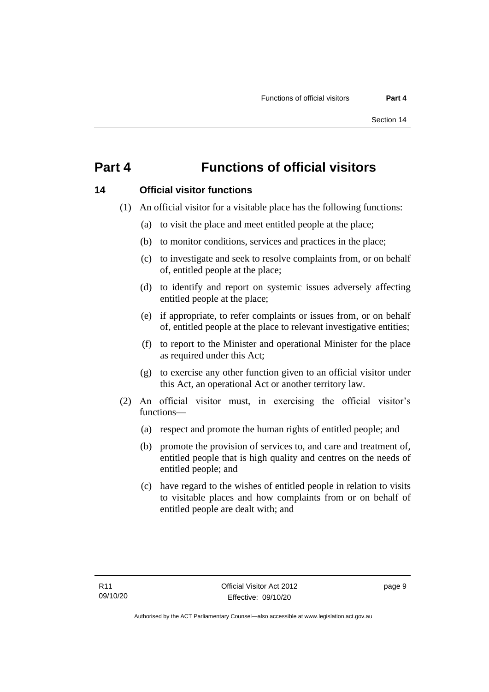### <span id="page-14-0"></span>**Part 4 Functions of official visitors**

#### <span id="page-14-1"></span>**14 Official visitor functions**

- (1) An official visitor for a visitable place has the following functions:
	- (a) to visit the place and meet entitled people at the place;
	- (b) to monitor conditions, services and practices in the place;
	- (c) to investigate and seek to resolve complaints from, or on behalf of, entitled people at the place;
	- (d) to identify and report on systemic issues adversely affecting entitled people at the place;
	- (e) if appropriate, to refer complaints or issues from, or on behalf of, entitled people at the place to relevant investigative entities;
	- (f) to report to the Minister and operational Minister for the place as required under this Act;
	- (g) to exercise any other function given to an official visitor under this Act, an operational Act or another territory law.
- (2) An official visitor must, in exercising the official visitor's functions—
	- (a) respect and promote the human rights of entitled people; and
	- (b) promote the provision of services to, and care and treatment of, entitled people that is high quality and centres on the needs of entitled people; and
	- (c) have regard to the wishes of entitled people in relation to visits to visitable places and how complaints from or on behalf of entitled people are dealt with; and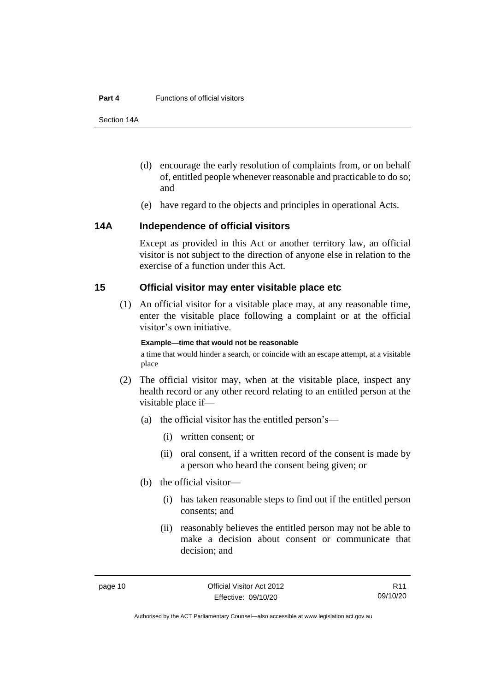#### **Part 4** Functions of official visitors

Section 14A

- (d) encourage the early resolution of complaints from, or on behalf of, entitled people whenever reasonable and practicable to do so; and
- (e) have regard to the objects and principles in operational Acts.

#### <span id="page-15-0"></span>**14A Independence of official visitors**

Except as provided in this Act or another territory law, an official visitor is not subject to the direction of anyone else in relation to the exercise of a function under this Act.

#### <span id="page-15-1"></span>**15 Official visitor may enter visitable place etc**

(1) An official visitor for a visitable place may, at any reasonable time, enter the visitable place following a complaint or at the official visitor's own initiative.

#### **Example—time that would not be reasonable**

a time that would hinder a search, or coincide with an escape attempt, at a visitable place

- (2) The official visitor may, when at the visitable place, inspect any health record or any other record relating to an entitled person at the visitable place if—
	- (a) the official visitor has the entitled person's—
		- (i) written consent; or
		- (ii) oral consent, if a written record of the consent is made by a person who heard the consent being given; or
	- (b) the official visitor—
		- (i) has taken reasonable steps to find out if the entitled person consents; and
		- (ii) reasonably believes the entitled person may not be able to make a decision about consent or communicate that decision; and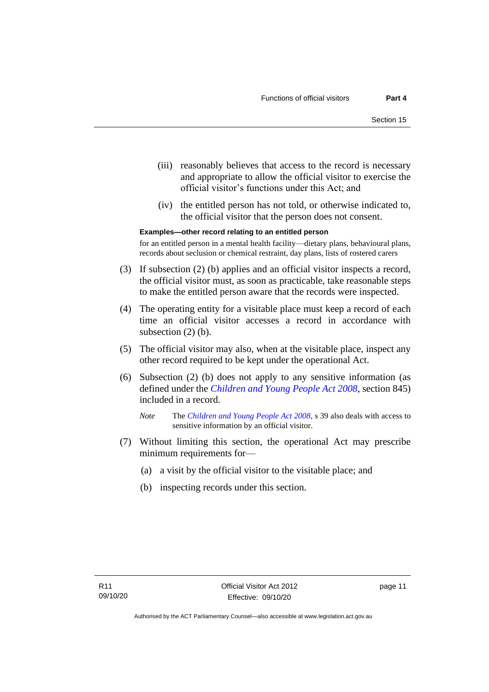- (iii) reasonably believes that access to the record is necessary and appropriate to allow the official visitor to exercise the official visitor's functions under this Act; and
- (iv) the entitled person has not told, or otherwise indicated to, the official visitor that the person does not consent.

**Examples—other record relating to an entitled person**

for an entitled person in a mental health facility—dietary plans, behavioural plans, records about seclusion or chemical restraint, day plans, lists of rostered carers

- (3) If subsection (2) (b) applies and an official visitor inspects a record, the official visitor must, as soon as practicable, take reasonable steps to make the entitled person aware that the records were inspected.
- (4) The operating entity for a visitable place must keep a record of each time an official visitor accesses a record in accordance with subsection  $(2)$  (b).
- (5) The official visitor may also, when at the visitable place, inspect any other record required to be kept under the operational Act.
- (6) Subsection (2) (b) does not apply to any sensitive information (as defined under the *[Children and Young People Act 2008](http://www.legislation.act.gov.au/a/2008-19)*, section 845) included in a record.

*Note* The *[Children and Young People Act 2008](http://www.legislation.act.gov.au/a/2008-19)*, s 39 also deals with access to sensitive information by an official visitor.

- (7) Without limiting this section, the operational Act may prescribe minimum requirements for—
	- (a) a visit by the official visitor to the visitable place; and
	- (b) inspecting records under this section.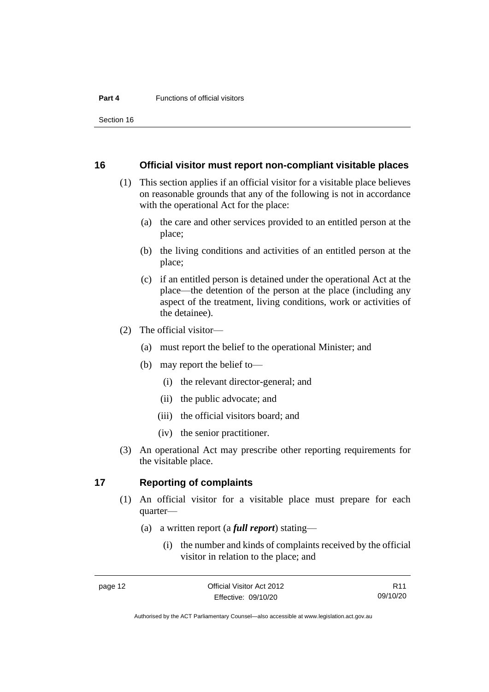Section 16

#### <span id="page-17-0"></span>**16 Official visitor must report non-compliant visitable places**

- (1) This section applies if an official visitor for a visitable place believes on reasonable grounds that any of the following is not in accordance with the operational Act for the place:
	- (a) the care and other services provided to an entitled person at the place;
	- (b) the living conditions and activities of an entitled person at the place;
	- (c) if an entitled person is detained under the operational Act at the place—the detention of the person at the place (including any aspect of the treatment, living conditions, work or activities of the detainee).
- (2) The official visitor—
	- (a) must report the belief to the operational Minister; and
	- (b) may report the belief to—
		- (i) the relevant director-general; and
		- (ii) the public advocate; and
		- (iii) the official visitors board; and
		- (iv) the senior practitioner.
- (3) An operational Act may prescribe other reporting requirements for the visitable place.

#### <span id="page-17-1"></span>**17 Reporting of complaints**

- (1) An official visitor for a visitable place must prepare for each quarter—
	- (a) a written report (a *full report*) stating—
		- (i) the number and kinds of complaints received by the official visitor in relation to the place; and

R11 09/10/20

Authorised by the ACT Parliamentary Counsel—also accessible at www.legislation.act.gov.au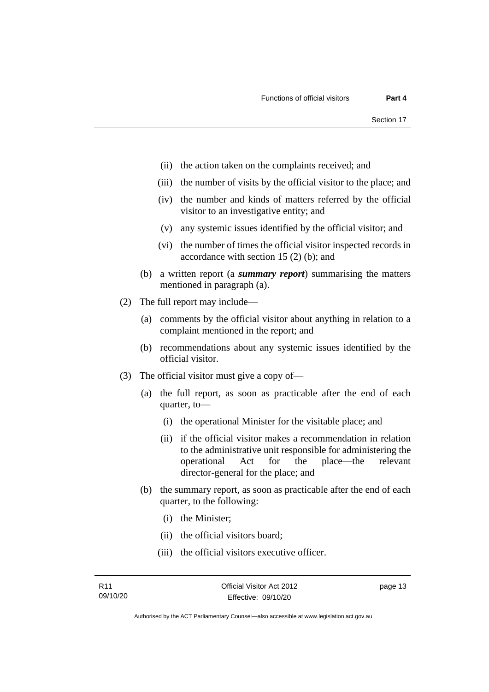- (ii) the action taken on the complaints received; and
- (iii) the number of visits by the official visitor to the place; and
- (iv) the number and kinds of matters referred by the official visitor to an investigative entity; and
- (v) any systemic issues identified by the official visitor; and
- (vi) the number of times the official visitor inspected records in accordance with section 15 (2) (b); and
- (b) a written report (a *summary report*) summarising the matters mentioned in paragraph (a).
- (2) The full report may include—
	- (a) comments by the official visitor about anything in relation to a complaint mentioned in the report; and
	- (b) recommendations about any systemic issues identified by the official visitor.
- (3) The official visitor must give a copy of—
	- (a) the full report, as soon as practicable after the end of each quarter, to—
		- (i) the operational Minister for the visitable place; and
		- (ii) if the official visitor makes a recommendation in relation to the administrative unit responsible for administering the operational Act for the place—the relevant director-general for the place; and
	- (b) the summary report, as soon as practicable after the end of each quarter, to the following:
		- (i) the Minister;
		- (ii) the official visitors board;
		- (iii) the official visitors executive officer.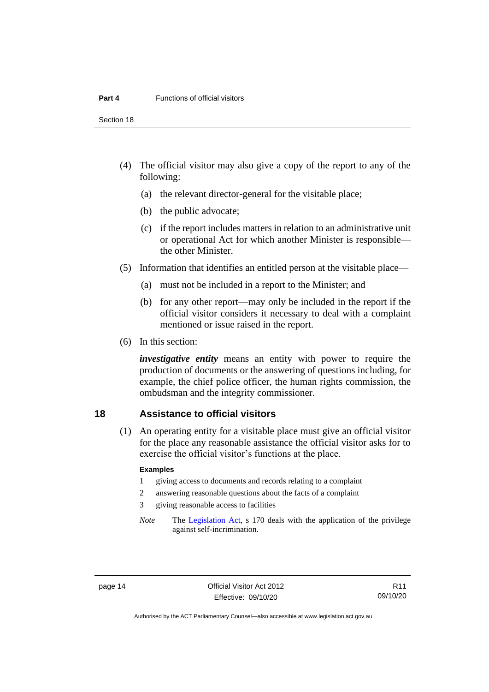Section 18

- (4) The official visitor may also give a copy of the report to any of the following:
	- (a) the relevant director-general for the visitable place;
	- (b) the public advocate;
	- (c) if the report includes matters in relation to an administrative unit or operational Act for which another Minister is responsible the other Minister.
- (5) Information that identifies an entitled person at the visitable place—
	- (a) must not be included in a report to the Minister; and
	- (b) for any other report—may only be included in the report if the official visitor considers it necessary to deal with a complaint mentioned or issue raised in the report.
- (6) In this section:

*investigative entity* means an entity with power to require the production of documents or the answering of questions including, for example, the chief police officer, the human rights commission, the ombudsman and the integrity commissioner.

#### <span id="page-19-0"></span>**18 Assistance to official visitors**

(1) An operating entity for a visitable place must give an official visitor for the place any reasonable assistance the official visitor asks for to exercise the official visitor's functions at the place.

#### **Examples**

- 1 giving access to documents and records relating to a complaint
- 2 answering reasonable questions about the facts of a complaint
- 3 giving reasonable access to facilities
- *Note* The [Legislation Act,](http://www.legislation.act.gov.au/a/2001-14) s 170 deals with the application of the privilege against self-incrimination.

Authorised by the ACT Parliamentary Counsel—also accessible at www.legislation.act.gov.au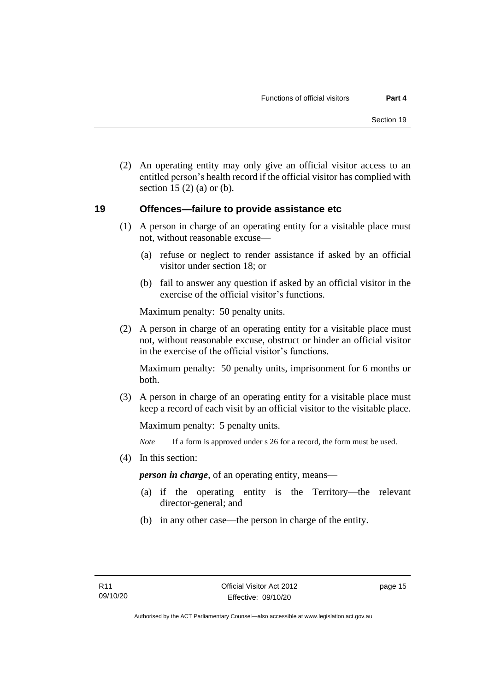(2) An operating entity may only give an official visitor access to an entitled person's health record if the official visitor has complied with section 15 $(2)$  $(a)$  or  $(b)$ .

#### <span id="page-20-0"></span>**19 Offences—failure to provide assistance etc**

- (1) A person in charge of an operating entity for a visitable place must not, without reasonable excuse—
	- (a) refuse or neglect to render assistance if asked by an official visitor under section 18; or
	- (b) fail to answer any question if asked by an official visitor in the exercise of the official visitor's functions.

Maximum penalty: 50 penalty units.

(2) A person in charge of an operating entity for a visitable place must not, without reasonable excuse, obstruct or hinder an official visitor in the exercise of the official visitor's functions.

Maximum penalty: 50 penalty units, imprisonment for 6 months or both.

(3) A person in charge of an operating entity for a visitable place must keep a record of each visit by an official visitor to the visitable place.

Maximum penalty: 5 penalty units.

*Note* If a form is approved under s 26 for a record, the form must be used.

(4) In this section:

*person in charge*, of an operating entity, means—

- (a) if the operating entity is the Territory—the relevant director-general; and
- (b) in any other case—the person in charge of the entity.

page 15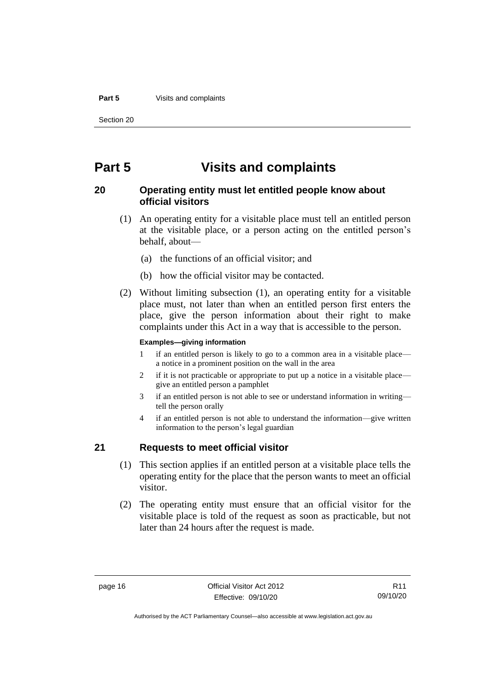#### **Part 5** Visits and complaints

Section 20

### <span id="page-21-0"></span>**Part 5 Visits and complaints**

#### <span id="page-21-1"></span>**20 Operating entity must let entitled people know about official visitors**

- (1) An operating entity for a visitable place must tell an entitled person at the visitable place, or a person acting on the entitled person's behalf, about—
	- (a) the functions of an official visitor; and
	- (b) how the official visitor may be contacted.
- (2) Without limiting subsection (1), an operating entity for a visitable place must, not later than when an entitled person first enters the place, give the person information about their right to make complaints under this Act in a way that is accessible to the person.

#### **Examples—giving information**

- 1 if an entitled person is likely to go to a common area in a visitable place a notice in a prominent position on the wall in the area
- 2 if it is not practicable or appropriate to put up a notice in a visitable place give an entitled person a pamphlet
- 3 if an entitled person is not able to see or understand information in writing tell the person orally
- 4 if an entitled person is not able to understand the information—give written information to the person's legal guardian

#### <span id="page-21-2"></span>**21 Requests to meet official visitor**

- (1) This section applies if an entitled person at a visitable place tells the operating entity for the place that the person wants to meet an official visitor.
- (2) The operating entity must ensure that an official visitor for the visitable place is told of the request as soon as practicable, but not later than 24 hours after the request is made.

Authorised by the ACT Parliamentary Counsel—also accessible at www.legislation.act.gov.au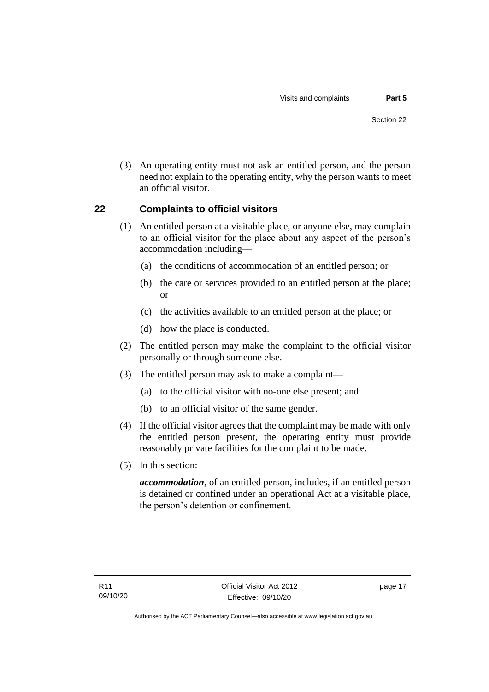(3) An operating entity must not ask an entitled person, and the person need not explain to the operating entity, why the person wants to meet an official visitor.

#### <span id="page-22-0"></span>**22 Complaints to official visitors**

- (1) An entitled person at a visitable place, or anyone else, may complain to an official visitor for the place about any aspect of the person's accommodation including—
	- (a) the conditions of accommodation of an entitled person; or
	- (b) the care or services provided to an entitled person at the place; or
	- (c) the activities available to an entitled person at the place; or
	- (d) how the place is conducted.
- (2) The entitled person may make the complaint to the official visitor personally or through someone else.
- (3) The entitled person may ask to make a complaint—
	- (a) to the official visitor with no-one else present; and
	- (b) to an official visitor of the same gender.
- (4) If the official visitor agrees that the complaint may be made with only the entitled person present, the operating entity must provide reasonably private facilities for the complaint to be made.
- (5) In this section:

*accommodation*, of an entitled person, includes, if an entitled person is detained or confined under an operational Act at a visitable place, the person's detention or confinement.

page 17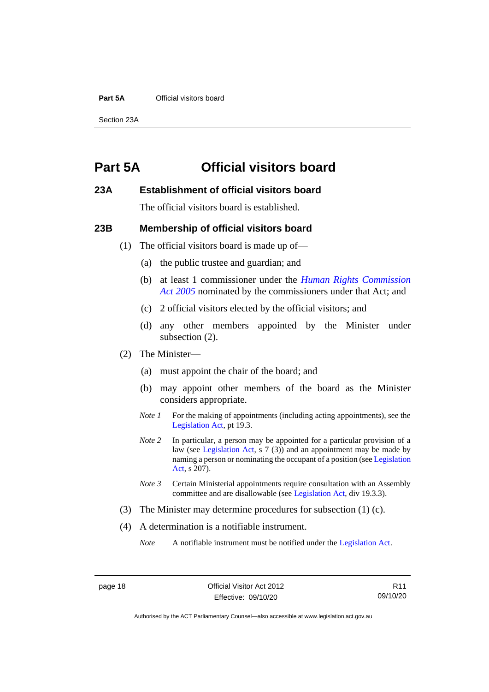#### **Part 5A** Official visitors board

Section 23A

### <span id="page-23-0"></span>**Part 5A Official visitors board**

#### <span id="page-23-1"></span>**23A Establishment of official visitors board**

The official visitors board is established.

#### <span id="page-23-2"></span>**23B Membership of official visitors board**

- (1) The official visitors board is made up of—
	- (a) the public trustee and guardian; and
	- (b) at least 1 commissioner under the *[Human Rights Commission](http://www.legislation.act.gov.au/a/2005-40)  Act [2005](http://www.legislation.act.gov.au/a/2005-40)* nominated by the commissioners under that Act; and
	- (c) 2 official visitors elected by the official visitors; and
	- (d) any other members appointed by the Minister under subsection (2).
- (2) The Minister—
	- (a) must appoint the chair of the board; and
	- (b) may appoint other members of the board as the Minister considers appropriate.
	- *Note 1* For the making of appointments (including acting appointments), see the [Legislation Act,](http://www.legislation.act.gov.au/a/2001-14) pt 19.3.
	- *Note 2* In particular, a person may be appointed for a particular provision of a law (see [Legislation Act,](http://www.legislation.act.gov.au/a/2001-14) s 7 (3)) and an appointment may be made by naming a person or nominating the occupant of a position (se[e Legislation](http://www.legislation.act.gov.au/a/2001-14)  [Act,](http://www.legislation.act.gov.au/a/2001-14) s 207).
	- *Note 3* Certain Ministerial appointments require consultation with an Assembly committee and are disallowable (see [Legislation Act,](http://www.legislation.act.gov.au/a/2001-14) div 19.3.3).
- (3) The Minister may determine procedures for subsection (1) (c).
- (4) A determination is a notifiable instrument.

*Note* A notifiable instrument must be notified under the [Legislation Act.](http://www.legislation.act.gov.au/a/2001-14)

R11 09/10/20

Authorised by the ACT Parliamentary Counsel—also accessible at www.legislation.act.gov.au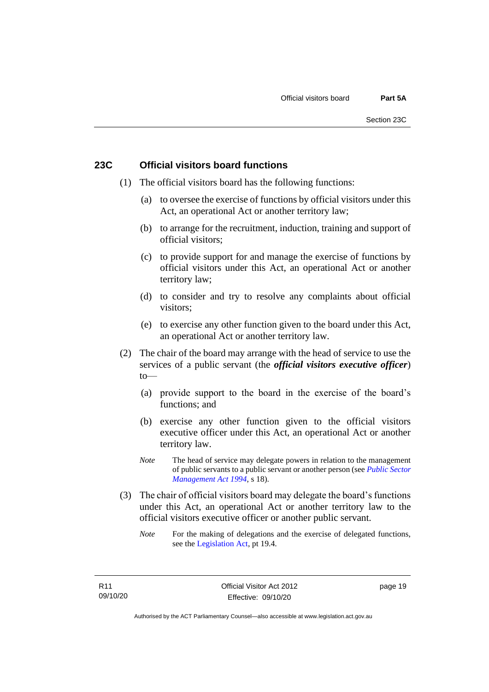#### <span id="page-24-0"></span>**23C Official visitors board functions**

- (1) The official visitors board has the following functions:
	- (a) to oversee the exercise of functions by official visitors under this Act, an operational Act or another territory law;
	- (b) to arrange for the recruitment, induction, training and support of official visitors;
	- (c) to provide support for and manage the exercise of functions by official visitors under this Act, an operational Act or another territory law;
	- (d) to consider and try to resolve any complaints about official visitors;
	- (e) to exercise any other function given to the board under this Act, an operational Act or another territory law.
- (2) The chair of the board may arrange with the head of service to use the services of a public servant (the *official visitors executive officer*)  $to$ —
	- (a) provide support to the board in the exercise of the board's functions; and
	- (b) exercise any other function given to the official visitors executive officer under this Act, an operational Act or another territory law.
	- *Note* The head of service may delegate powers in relation to the management of public servants to a public servant or another person (see *[Public Sector](http://www.legislation.act.gov.au/a/1994-37)  [Management Act 1994](http://www.legislation.act.gov.au/a/1994-37)*, s 18).
- (3) The chair of official visitors board may delegate the board's functions under this Act, an operational Act or another territory law to the official visitors executive officer or another public servant.
	- *Note* For the making of delegations and the exercise of delegated functions, see the [Legislation Act,](http://www.legislation.act.gov.au/a/2001-14) pt 19.4.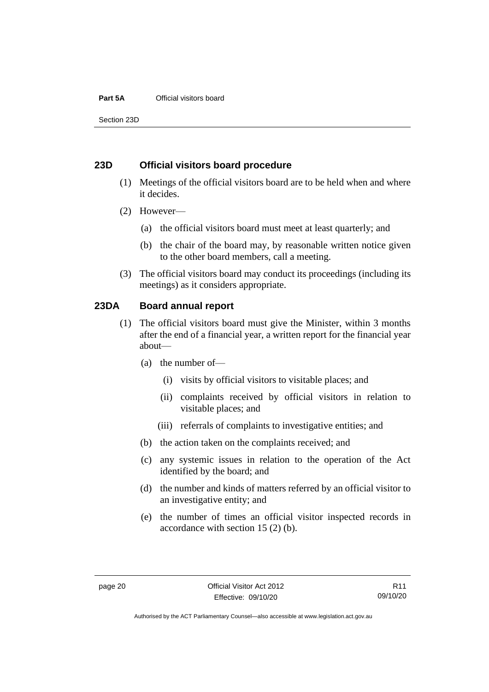#### **Part 5A** Official visitors board

Section 23D

#### <span id="page-25-0"></span>**23D Official visitors board procedure**

- (1) Meetings of the official visitors board are to be held when and where it decides.
- (2) However—
	- (a) the official visitors board must meet at least quarterly; and
	- (b) the chair of the board may, by reasonable written notice given to the other board members, call a meeting.
- (3) The official visitors board may conduct its proceedings (including its meetings) as it considers appropriate.

#### <span id="page-25-1"></span>**23DA Board annual report**

- (1) The official visitors board must give the Minister, within 3 months after the end of a financial year, a written report for the financial year about—
	- (a) the number of—
		- (i) visits by official visitors to visitable places; and
		- (ii) complaints received by official visitors in relation to visitable places; and
		- (iii) referrals of complaints to investigative entities; and
	- (b) the action taken on the complaints received; and
	- (c) any systemic issues in relation to the operation of the Act identified by the board; and
	- (d) the number and kinds of matters referred by an official visitor to an investigative entity; and
	- (e) the number of times an official visitor inspected records in accordance with section 15 (2) (b).

Authorised by the ACT Parliamentary Counsel—also accessible at www.legislation.act.gov.au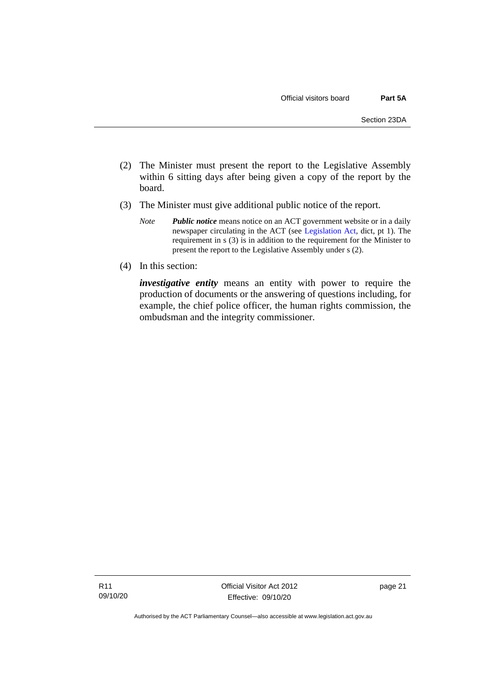- (2) The Minister must present the report to the Legislative Assembly within 6 sitting days after being given a copy of the report by the board.
- (3) The Minister must give additional public notice of the report.
	- *Note Public notice* means notice on an ACT government website or in a daily newspaper circulating in the ACT (see [Legislation Act,](http://www.legislation.act.gov.au/a/2001-14) dict, pt 1). The requirement in s (3) is in addition to the requirement for the Minister to present the report to the Legislative Assembly under s (2).
- (4) In this section:

*investigative entity* means an entity with power to require the production of documents or the answering of questions including, for example, the chief police officer, the human rights commission, the ombudsman and the integrity commissioner.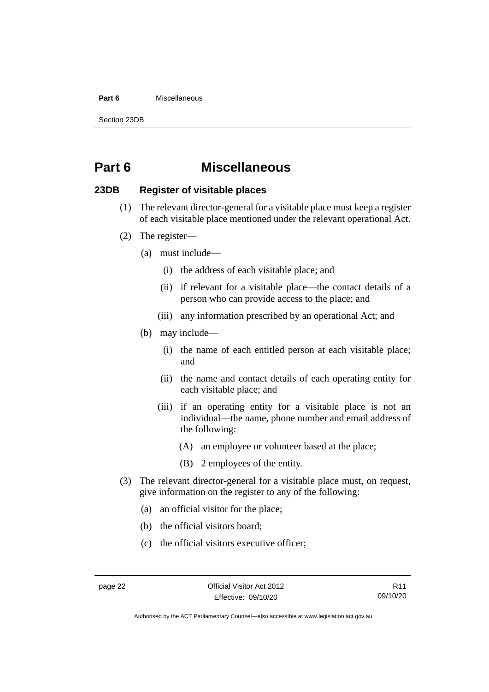#### **Part 6** Miscellaneous

Section 23DB

### <span id="page-27-0"></span>**Part 6 Miscellaneous**

#### <span id="page-27-1"></span>**23DB Register of visitable places**

- (1) The relevant director-general for a visitable place must keep a register of each visitable place mentioned under the relevant operational Act.
- (2) The register—
	- (a) must include—
		- (i) the address of each visitable place; and
		- (ii) if relevant for a visitable place—the contact details of a person who can provide access to the place; and
		- (iii) any information prescribed by an operational Act; and
	- (b) may include—
		- (i) the name of each entitled person at each visitable place; and
		- (ii) the name and contact details of each operating entity for each visitable place; and
		- (iii) if an operating entity for a visitable place is not an individual—the name, phone number and email address of the following:
			- (A) an employee or volunteer based at the place;
			- (B) 2 employees of the entity.
- (3) The relevant director-general for a visitable place must, on request, give information on the register to any of the following:
	- (a) an official visitor for the place;
	- (b) the official visitors board;
	- (c) the official visitors executive officer;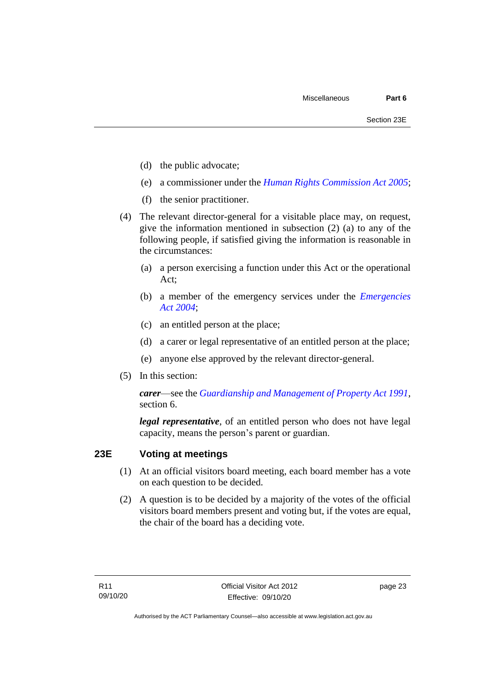- (d) the public advocate;
- (e) a commissioner under the *[Human Rights Commission Act 2005](http://www.legislation.act.gov.au/a/2005-40)*;
- (f) the senior practitioner.
- (4) The relevant director-general for a visitable place may, on request, give the information mentioned in subsection (2) (a) to any of the following people, if satisfied giving the information is reasonable in the circumstances:
	- (a) a person exercising a function under this Act or the operational Act;
	- (b) a member of the emergency services under the *[Emergencies](http://www.legislation.act.gov.au/a/2004-28)  Act [2004](http://www.legislation.act.gov.au/a/2004-28)*;
	- (c) an entitled person at the place;
	- (d) a carer or legal representative of an entitled person at the place;
	- (e) anyone else approved by the relevant director-general.
- (5) In this section:

*carer*—see the *[Guardianship and Management of Property Act 1991](http://www.legislation.act.gov.au/a/1991-62)*, section 6.

*legal representative*, of an entitled person who does not have legal capacity, means the person's parent or guardian.

#### <span id="page-28-0"></span>**23E Voting at meetings**

- (1) At an official visitors board meeting, each board member has a vote on each question to be decided.
- (2) A question is to be decided by a majority of the votes of the official visitors board members present and voting but, if the votes are equal, the chair of the board has a deciding vote.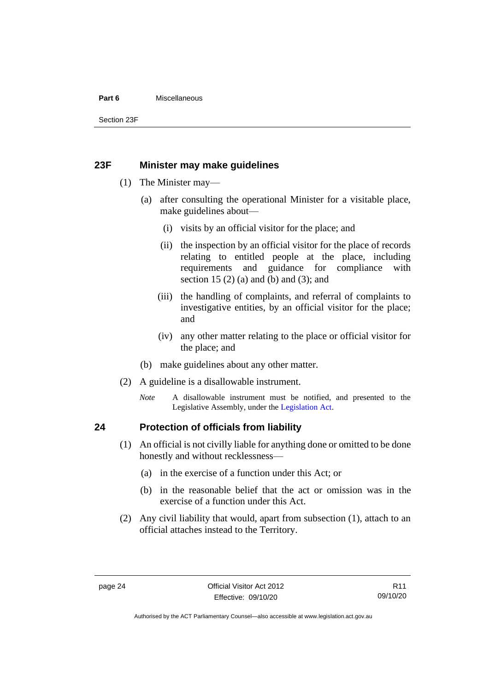#### **Part 6** Miscellaneous

Section 23F

#### <span id="page-29-0"></span>**23F Minister may make guidelines**

- (1) The Minister may—
	- (a) after consulting the operational Minister for a visitable place, make guidelines about—
		- (i) visits by an official visitor for the place; and
		- (ii) the inspection by an official visitor for the place of records relating to entitled people at the place, including requirements and guidance for compliance with section 15  $(2)$  (a) and (b) and  $(3)$ ; and
		- (iii) the handling of complaints, and referral of complaints to investigative entities, by an official visitor for the place; and
		- (iv) any other matter relating to the place or official visitor for the place; and
	- (b) make guidelines about any other matter.
- (2) A guideline is a disallowable instrument.
	- *Note* A disallowable instrument must be notified, and presented to the Legislative Assembly, under the [Legislation Act.](http://www.legislation.act.gov.au/a/2001-14)

#### <span id="page-29-1"></span>**24 Protection of officials from liability**

- (1) An official is not civilly liable for anything done or omitted to be done honestly and without recklessness—
	- (a) in the exercise of a function under this Act; or
	- (b) in the reasonable belief that the act or omission was in the exercise of a function under this Act.
- (2) Any civil liability that would, apart from subsection (1), attach to an official attaches instead to the Territory.

Authorised by the ACT Parliamentary Counsel—also accessible at www.legislation.act.gov.au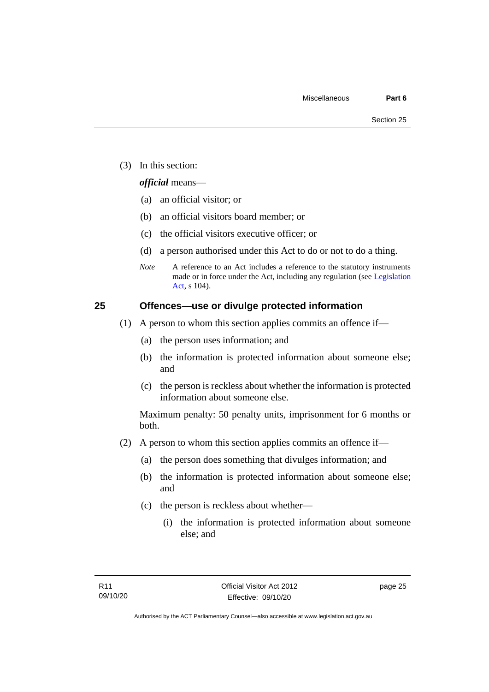(3) In this section:

#### *official* means—

- (a) an official visitor; or
- (b) an official visitors board member; or
- (c) the official visitors executive officer; or
- (d) a person authorised under this Act to do or not to do a thing.
- *Note* A reference to an Act includes a reference to the statutory instruments made or in force under the Act, including any regulation (see [Legislation](http://www.legislation.act.gov.au/a/2001-14)  [Act,](http://www.legislation.act.gov.au/a/2001-14) s 104).

#### <span id="page-30-0"></span>**25 Offences—use or divulge protected information**

- (1) A person to whom this section applies commits an offence if—
	- (a) the person uses information; and
	- (b) the information is protected information about someone else; and
	- (c) the person is reckless about whether the information is protected information about someone else.

Maximum penalty: 50 penalty units, imprisonment for 6 months or both.

- (2) A person to whom this section applies commits an offence if—
	- (a) the person does something that divulges information; and
	- (b) the information is protected information about someone else; and
	- (c) the person is reckless about whether—
		- (i) the information is protected information about someone else; and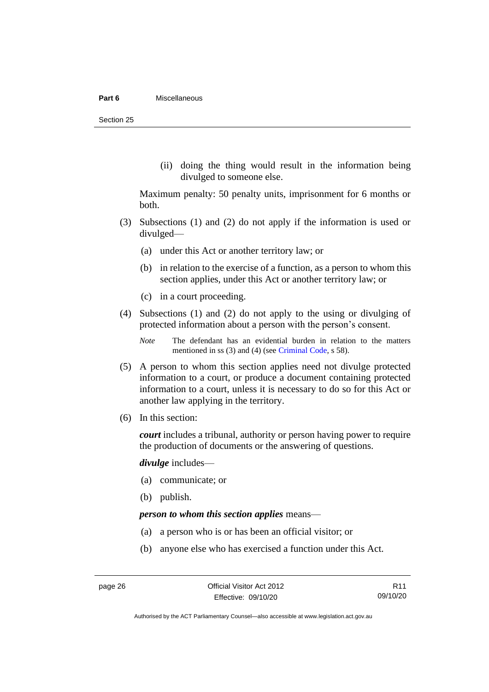#### **Part 6** Miscellaneous

Section 25

(ii) doing the thing would result in the information being divulged to someone else.

Maximum penalty: 50 penalty units, imprisonment for 6 months or both.

- (3) Subsections (1) and (2) do not apply if the information is used or divulged—
	- (a) under this Act or another territory law; or
	- (b) in relation to the exercise of a function, as a person to whom this section applies, under this Act or another territory law; or
	- (c) in a court proceeding.
- (4) Subsections (1) and (2) do not apply to the using or divulging of protected information about a person with the person's consent.

*Note* The defendant has an evidential burden in relation to the matters mentioned in ss (3) and (4) (see [Criminal Code,](http://www.legislation.act.gov.au/a/2002-51) s 58).

- (5) A person to whom this section applies need not divulge protected information to a court, or produce a document containing protected information to a court, unless it is necessary to do so for this Act or another law applying in the territory.
- (6) In this section:

*court* includes a tribunal, authority or person having power to require the production of documents or the answering of questions.

*divulge* includes—

- (a) communicate; or
- (b) publish.

#### *person to whom this section applies* means—

- (a) a person who is or has been an official visitor; or
- (b) anyone else who has exercised a function under this Act.

R11 09/10/20

Authorised by the ACT Parliamentary Counsel—also accessible at www.legislation.act.gov.au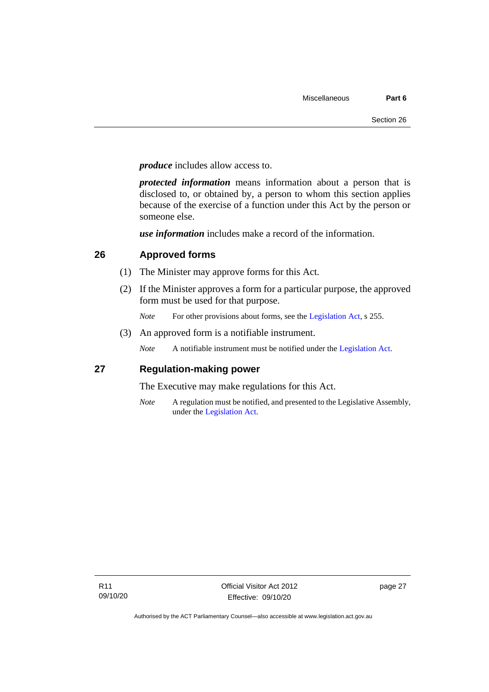*produce* includes allow access to.

*protected information* means information about a person that is disclosed to, or obtained by, a person to whom this section applies because of the exercise of a function under this Act by the person or someone else.

*use information* includes make a record of the information.

#### <span id="page-32-0"></span>**26 Approved forms**

- (1) The Minister may approve forms for this Act.
- (2) If the Minister approves a form for a particular purpose, the approved form must be used for that purpose.
	- *Note* For other provisions about forms, see the [Legislation Act,](http://www.legislation.act.gov.au/a/2001-14) s 255.
- (3) An approved form is a notifiable instrument.

*Note* A notifiable instrument must be notified under the [Legislation](http://www.legislation.act.gov.au/a/2001-14) Act.

#### <span id="page-32-1"></span>**27 Regulation-making power**

The Executive may make regulations for this Act.

*Note* A regulation must be notified, and presented to the Legislative Assembly, under the [Legislation](http://www.legislation.act.gov.au/a/2001-14) Act.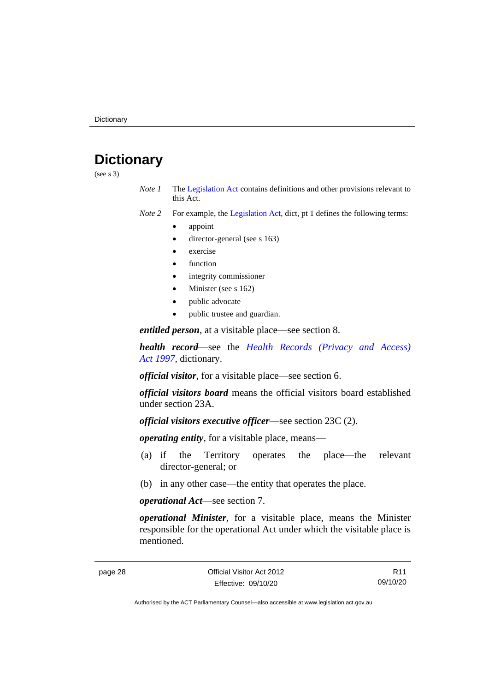### <span id="page-33-0"></span>**Dictionary**

(see s 3)

- *Note 1* The [Legislation Act](http://www.legislation.act.gov.au/a/2001-14) contains definitions and other provisions relevant to this Act.
- *Note 2* For example, the [Legislation Act,](http://www.legislation.act.gov.au/a/2001-14) dict, pt 1 defines the following terms:
	- appoint
	- director-general (see s 163)
	- exercise
	- **function**
	- integrity commissioner
	- Minister (see s 162)
	- public advocate
	- public trustee and guardian.

*entitled person*, at a visitable place—see section 8.

*health record*—see the *[Health Records \(Privacy and Access\)](http://www.legislation.act.gov.au/a/1997-125)  Act [1997](http://www.legislation.act.gov.au/a/1997-125)*, dictionary.

*official visitor*, for a visitable place—see section 6.

*official visitors board* means the official visitors board established under section 23A.

*official visitors executive officer*—see section 23C (2).

*operating entity*, for a visitable place, means—

- (a) if the Territory operates the place—the relevant director-general; or
- (b) in any other case—the entity that operates the place.

*operational Act*—see section 7.

*operational Minister*, for a visitable place, means the Minister responsible for the operational Act under which the visitable place is mentioned.

R11 09/10/20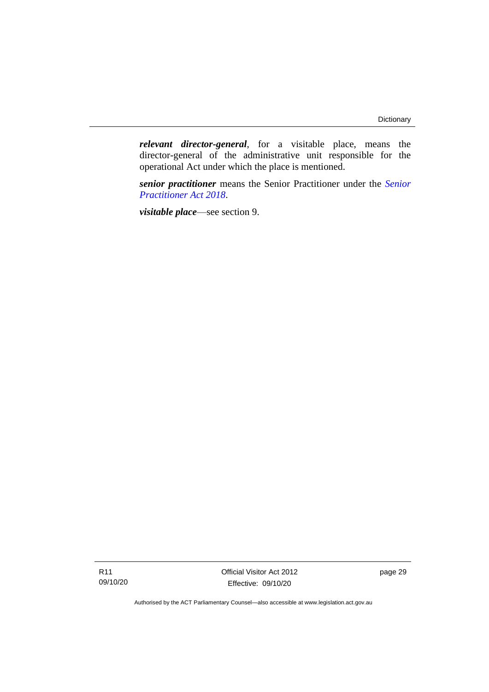*relevant director-general*, for a visitable place, means the director-general of the administrative unit responsible for the operational Act under which the place is mentioned.

*senior practitioner* means the Senior Practitioner under the *[Senior](http://www.legislation.act.gov.au/a/2018-27)  [Practitioner Act 2018](http://www.legislation.act.gov.au/a/2018-27)*.

*visitable place*—see section 9.

Official Visitor Act 2012 Effective: 09/10/20

page 29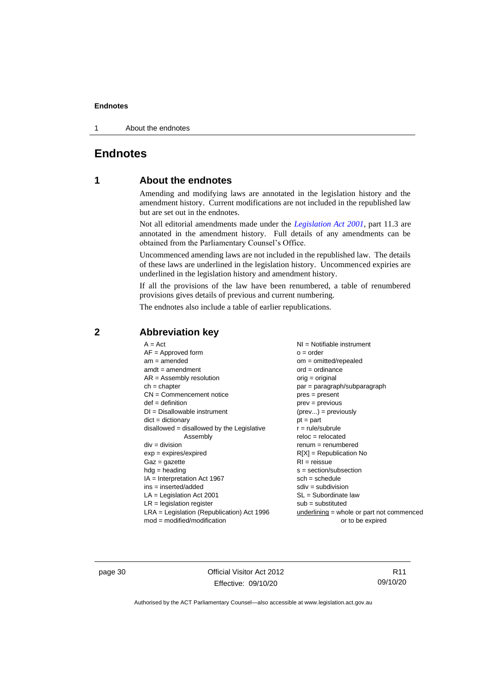1 About the endnotes

#### <span id="page-35-1"></span><span id="page-35-0"></span>**Endnotes**

#### **1 About the endnotes**

Amending and modifying laws are annotated in the legislation history and the amendment history. Current modifications are not included in the republished law but are set out in the endnotes.

Not all editorial amendments made under the *[Legislation Act 2001](http://www.legislation.act.gov.au/a/2001-14)*, part 11.3 are annotated in the amendment history. Full details of any amendments can be obtained from the Parliamentary Counsel's Office.

Uncommenced amending laws are not included in the republished law. The details of these laws are underlined in the legislation history. Uncommenced expiries are underlined in the legislation history and amendment history.

If all the provisions of the law have been renumbered, a table of renumbered provisions gives details of previous and current numbering.

The endnotes also include a table of earlier republications.

| $A = Act$                                    | $NI =$ Notifiable instrument                |
|----------------------------------------------|---------------------------------------------|
| $AF =$ Approved form                         | $o = order$                                 |
| $am = amended$                               | $om = omitted/repealed$                     |
| $amdt = amendment$                           | $ord = ordinance$                           |
| $AR = Assembly resolution$                   | $orig = original$                           |
| $ch = chapter$                               | par = paragraph/subparagraph                |
| $CN =$ Commencement notice                   | $pres = present$                            |
| $def = definition$                           | $prev = previous$                           |
| $DI = Disallowable instrument$               | $(\text{prev}) = \text{previously}$         |
| $dict = dictionary$                          | $pt = part$                                 |
| $disallowed = disallowed by the Legislative$ | $r = rule/subrule$                          |
| Assembly                                     | $reloc = relocated$                         |
| $div = division$                             | $renum = renumbered$                        |
| $exp = expires/expired$                      | $R[X]$ = Republication No                   |
|                                              |                                             |
| $Gaz = gazette$                              | $RI = reissue$                              |
| $h dq =$ heading                             | $s = section/subsection$                    |
| $IA = Interpretation Act 1967$               | $sch = schedule$                            |
| ins = inserted/added                         | $sdiv = subdivision$                        |
| $LA =$ Legislation Act 2001                  | $SL = Subordinate$ law                      |
| $LR =$ legislation register                  | $sub =$ substituted                         |
| $LRA =$ Legislation (Republication) Act 1996 | $underlining = whole or part not commenced$ |
| $mod = modified/modification$                | or to be expired                            |

#### <span id="page-35-2"></span>**2 Abbreviation key**

page 30 Official Visitor Act 2012 Effective: 09/10/20

R11 09/10/20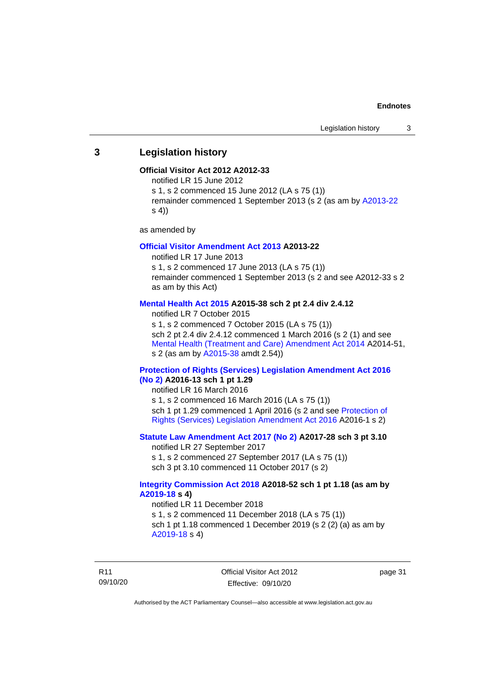#### <span id="page-36-0"></span>**3 Legislation history**

#### **Official Visitor Act 2012 A2012-33**

notified LR 15 June 2012

s 1, s 2 commenced 15 June 2012 (LA s 75 (1))

remainder commenced 1 September 2013 (s 2 (as am by [A2013-22](http://www.legislation.act.gov.au/a/2013-22/default.asp) s 4))

as amended by

#### **[Official Visitor Amendment Act 2013](http://www.legislation.act.gov.au/a/2013-22/default.asp) A2013-22**

notified LR 17 June 2013 s 1, s 2 commenced 17 June 2013 (LA s 75 (1)) remainder commenced 1 September 2013 (s 2 and see A2012-33 s 2 as am by this Act)

#### **[Mental Health Act 2015](http://www.legislation.act.gov.au/a/2015-38#history) A2015-38 sch 2 pt 2.4 div 2.4.12**

notified LR 7 October 2015 s 1, s 2 commenced 7 October 2015 (LA s 75 (1)) sch 2 pt 2.4 div 2.4.12 commenced 1 March 2016 (s 2 (1) and see [Mental Health \(Treatment and Care\) Amendment Act 2014](http://www.legislation.act.gov.au/a/2014-51/default.asp) A2014-51, s 2 (as am by [A2015-38](http://www.legislation.act.gov.au/a/2015-38) amdt 2.54))

#### **[Protection of Rights \(Services\) Legislation Amendment Act 2016](http://www.legislation.act.gov.au/a/2016-13)  [\(No](http://www.legislation.act.gov.au/a/2016-13) 2) A2016-13 sch 1 pt 1.29**

notified LR 16 March 2016 s 1, s 2 commenced 16 March 2016 (LA s 75 (1)) sch 1 pt 1.29 commenced 1 April 2016 (s 2 and see [Protection of](http://www.legislation.act.gov.au/a/2016-1/default.asp)  [Rights \(Services\) Legislation Amendment Act 2016](http://www.legislation.act.gov.au/a/2016-1/default.asp) A2016-1 s 2)

#### **[Statute Law Amendment Act 2017 \(No 2\)](http://www.legislation.act.gov.au/a/2017-28/default.asp) A2017-28 sch 3 pt 3.10**

notified LR 27 September 2017 s 1, s 2 commenced 27 September 2017 (LA s 75 (1)) sch 3 pt 3.10 commenced 11 October 2017 (s 2)

#### **[Integrity Commission Act 2018](http://www.legislation.act.gov.au/a/2018-52#history) A2018-52 sch 1 pt 1.18 (as am by [A2019-18](https://www.legislation.act.gov.au/a/2019-18) s 4)**

notified LR 11 December 2018 s 1, s 2 commenced 11 December 2018 (LA s 75 (1)) sch 1 pt 1.18 commenced 1 December 2019 (s 2 (2) (a) as am by [A2019-18](https://www.legislation.act.gov.au/a/2019-18) s 4)

R11 09/10/20 Official Visitor Act 2012 Effective: 09/10/20

page 31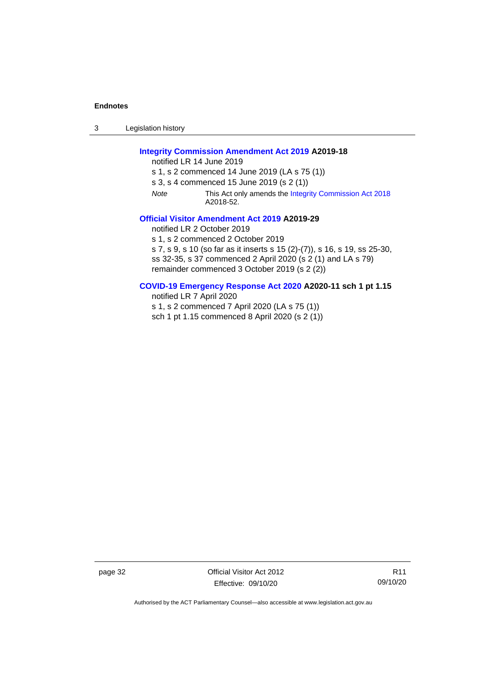3 Legislation history

#### **[Integrity Commission Amendment Act 2019](http://www.legislation.act.gov.au/a/2019-18/default.asp) A2019-18**

notified LR 14 June 2019

s 1, s 2 commenced 14 June 2019 (LA s 75 (1))

s 3, s 4 commenced 15 June 2019 (s 2 (1))

*Note* This Act only amends th[e Integrity Commission Act 2018](http://www.legislation.act.gov.au/a/2018-52#history) A2018-52.

#### **[Official Visitor Amendment Act 2019](http://www.legislation.act.gov.au/a/2019-29) A2019-29**

notified LR 2 October 2019

s 1, s 2 commenced 2 October 2019

s 7, s 9, s 10 (so far as it inserts s 15 (2)-(7)), s 16, s 19, ss 25-30, ss 32-35, s 37 commenced 2 April 2020 (s 2 (1) and LA s 79) remainder commenced 3 October 2019 (s 2 (2))

#### **[COVID-19 Emergency Response Act 2020](http://www.legislation.act.gov.au/a/2020-11/#history) A2020-11 sch 1 pt 1.15**

notified LR 7 April 2020

s 1, s 2 commenced 7 April 2020 (LA s 75 (1))

sch 1 pt 1.15 commenced 8 April 2020 (s 2 (1))

page 32 Official Visitor Act 2012 Effective: 09/10/20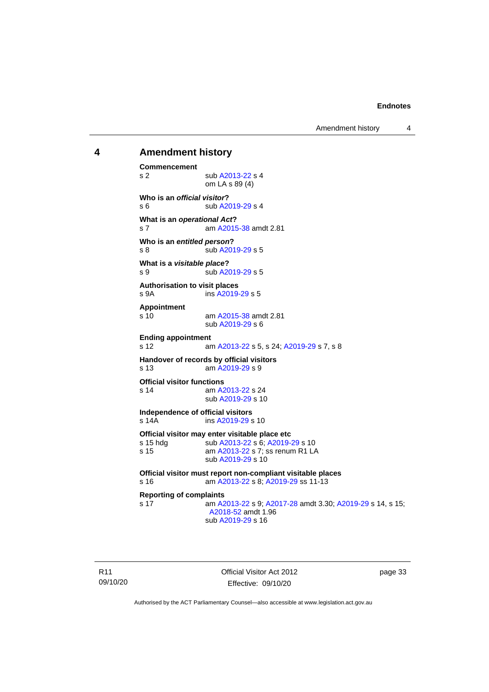Amendment history 4

## <span id="page-38-0"></span>**4 Amendment history**

**Commencement** s 2 sub [A2013-22](http://www.legislation.act.gov.au/a/2013-22/default.asp) s 4 om LA s 89 (4) **Who is an** *official visitor***?** s 6 sub [A2019-29](http://www.legislation.act.gov.au/a/2019-29/default.asp) s 4 **What is an** *operational Act***?** s 7 am [A2015-38](http://www.legislation.act.gov.au/a/2015-38/default.asp) amdt 2.81 **Who is an** *entitled person***?** s 8 sub [A2019-29](http://www.legislation.act.gov.au/a/2019-29/default.asp) s 5 **What is a** *visitable place***?** s 9 sub [A2019-29](http://www.legislation.act.gov.au/a/2019-29/default.asp) s 5 **Authorisation to visit places** s 9A ins [A2019-29](http://www.legislation.act.gov.au/a/2019-29/default.asp) s 5 **Appointment** s 10 am [A2015-38](http://www.legislation.act.gov.au/a/2015-38/default.asp) amdt 2.81 sub [A2019-29](http://www.legislation.act.gov.au/a/2019-29/default.asp) s 6 **Ending appointment** s 12 am [A2013-22](http://www.legislation.act.gov.au/a/2013-22/default.asp) s 5, s 24[; A2019-29](http://www.legislation.act.gov.au/a/2019-29/default.asp) s 7, s 8 **Handover of records by official visitors** s 13 am [A2019-29](http://www.legislation.act.gov.au/a/2019-29/) s 9 **Official visitor functions** s 14 am [A2013-22](http://www.legislation.act.gov.au/a/2013-22/default.asp) s 24 sub [A2019-29](http://www.legislation.act.gov.au/a/2019-29/default.asp) s 10 **Independence of official visitors** ins [A2019-29](http://www.legislation.act.gov.au/a/2019-29/default.asp) s 10 **Official visitor may enter visitable place etc** s 15 hdg sub [A2013-22](http://www.legislation.act.gov.au/a/2013-22/default.asp) s 6[; A2019-29](http://www.legislation.act.gov.au/a/2019-29/default.asp) s 10 s 15 **am [A2013-22](http://www.legislation.act.gov.au/a/2013-22/default.asp) s 7; ss renum R1 LA** sub [A2019-29](http://www.legislation.act.gov.au/a/2019-29/default.asp) s 10 **Official visitor must report non-compliant visitable places** s 16 am [A2013-22](http://www.legislation.act.gov.au/a/2013-22/default.asp) s 8[; A2019-29](http://www.legislation.act.gov.au/a/2019-29/default.asp) ss 11-13 **Reporting of complaints** s 17 am [A2013-22](http://www.legislation.act.gov.au/a/2013-22/default.asp) s 9[; A2017-28](http://www.legislation.act.gov.au/a/2017-28/default.asp) amdt 3.30; [A2019-29](http://www.legislation.act.gov.au/a/2019-29/default.asp) s 14, s 15; [A2018-52](https://www.legislation.act.gov.au/a/2018-52/#history) amdt 1.96 sub [A2019-29](http://www.legislation.act.gov.au/a/2019-29/default.asp) s 16

Official Visitor Act 2012 Effective: 09/10/20

page 33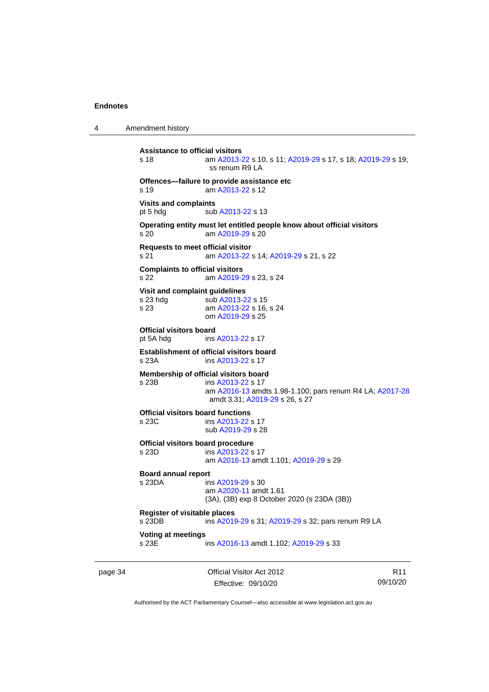4 Amendment history

```
Assistance to official visitors
s 18 am A2013-22 s 10, s 11; A2019-29 s 17, s 18; A2019-29 s 19; 
                 ss renum R9 LA
Offences—failure to provide assistance etc
s 19 am A2013-22 s 12
Visits and complaints
 A2013-22 s 13
Operating entity must let entitled people know about official visitors
s 20 am A2019-29 s 20
Requests to meet official visitor
s 21 am A2013-22 s 14; A2019-29 s 21, s 22
Complaints to official visitors
s 22 am A2019-29 s 23, s 24
Visit and complaint guidelines
 A2013-22 s 15
s 23 am A2013-22 s 16, s 24
               om A2019-29 s 25
Official visitors board
pt 5A hdg ins A2013-22 s 17
Establishment of official visitors board
s 23A ins A2013-22 s 17
Membership of official visitors board
s 23B ins A2013-22 s 17
                am A2016-13 amdts 1.98-1.100; pars renum R4 LA; A2017-28
                amdt 3.31; A2019-29 s 26, s 27
Official visitors board functions
s 23C ins A2013-22 s 17
               sub A2019-29 s 28
Official visitors board procedure
s 23D ins A2013-22 s 17
               am A2016-13 amdt 1.101; A2019-29 s 29
Board annual report<br>s 23DA in
                 A2019-29 s 30
                am A2020-11 amdt 1.61
               (3A), (3B) exp 8 October 2020 (s 23DA (3B))
Register of visitable places
s 23DB ins A2019-29 s 31; A2019-29 s 32; pars renum R9 LA
Voting at meetings
 A2016-13; A2019-29 s 33
```
page 34 Official Visitor Act 2012 Effective: 09/10/20

R11 09/10/20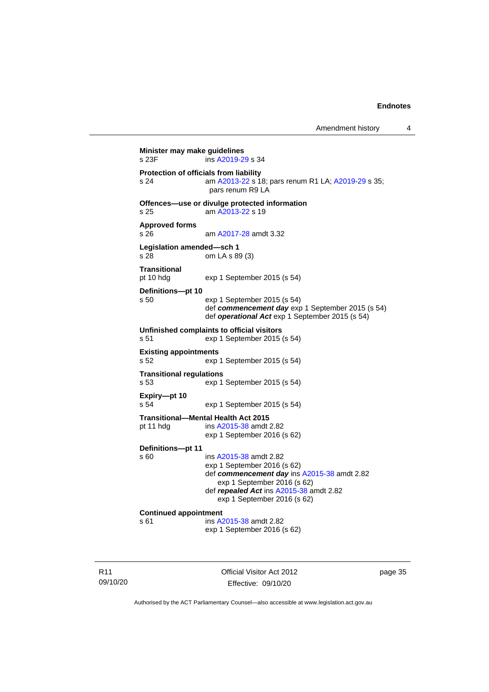```
Minister may make guidelines<br>s 23F ins A2019-2
                 A2019-29 s 34
Protection of officials from liability
s 24 am A2013-22 s 18; pars renum R1 LA; A2019-29 s 35; 
                 pars renum R9 LA
Offences—use or divulge protected information
s 25 am A2013-22 s 19
Approved forms
s 26 am A2017-28 amdt 3.32
Legislation amended—sch 1
s 28 om LA s 89 (3)
Transitional
pt 10 hdg exp 1 September 2015 (s 54)
Definitions—pt 10
s 50 exp 1 September 2015 (s 54)
                def commencement day exp 1 September 2015 (s 54)
                def operational Act exp 1 September 2015 (s 54)
Unfinished complaints to official visitors
s 51 exp 1 September 2015 (s 54)
Existing appointments
s 52 exp 1 September 2015 (s 54)
Transitional regulations
s 53 exp 1 September 2015 (s 54)
Expiry—pt 10
s 54 exp 1 September 2015 (s 54)
Transitional—Mental Health Act 2015
pt 11 hdg ins A2015-38 amdt 2.82
                exp 1 September 2016 (s 62)
Definitions—pt 11
                A2015-38 amdt 2.82
                exp 1 September 2016 (s 62)
                def commencement day ins A2015-38 amdt 2.82
                   exp 1 September 2016 (s 62)
                def repealed Act ins A2015-38 amdt 2.82
                   exp 1 September 2016 (s 62)
Continued appointment
s 61 ins A2015-38 amdt 2.82
                exp 1 September 2016 (s 62)
```
R11 09/10/20 Official Visitor Act 2012 Effective: 09/10/20

page 35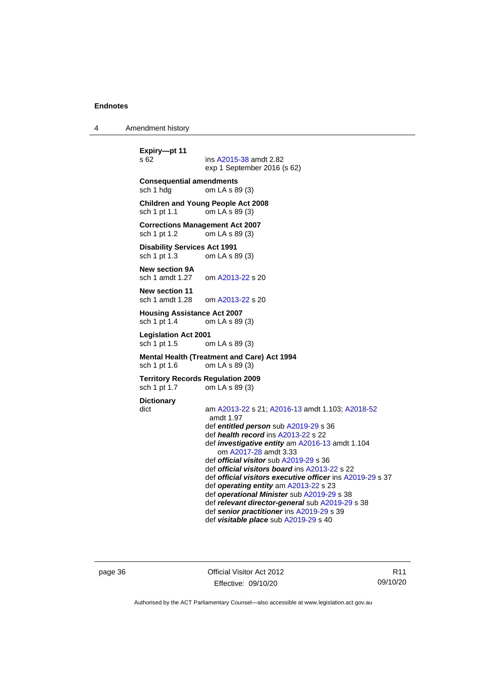4 Amendment history

```
Expiry—pt 11
                  A2015-38 amdt 2.82
                  exp 1 September 2016 (s 62)
Consequential amendments
sch 1 hdg om LA s 89 (3)
Children and Young People Act 2008
sch 1 pt 1.1 om LA s 89 (3)
Corrections Management Act 2007
sch 1 pt 1.2 om LA s 89 (3)
Disability Services Act 1991
sch 1 pt 1.3 om LA s 89 (3)
New section 9A<br>sch 1 amdt 1.27
                   A2013-22 s 20
New section 11
sch 1 amdt 1.28 om A2013-22 s 20
Housing Assistance Act 2007
sch 1 pt 1.4 om LA s 89 (3)
Legislation Act 2001
                  om LA s 89 (3)
Mental Health (Treatment and Care) Act 1994<br>sch 1 pt 1.6 com LA s 89 (3)
                  om LA s 89 (3)
Territory Records Regulation 2009
sch 1 pt 1.7 om LA s 89 (3)
Dictionary
dict am A2013-22 s 21; A2016-13 amdt 1.103; A2018-52
                   amdt 1.97
                  def entitled person sub A2019-29 s 36
                  def health record ins A2013-22 s 22
                  def investigative entity am A2016-13 amdt 1.104
                      om A2017-28 amdt 3.33
                  def official visitor sub A2019-29 s 36
                  def official visitors board ins A2013-22 s 22
                  def official visitors executive officer ins A2019-29 s 37
                  def operating entity am A2013-22 s 23
                  def operational Minister sub A2019-29 s 38
                  def relevant director-general sub A2019-29 s 38
                  def senior practitioner ins A2019-29 s 39
                  def visitable place sub A2019-29 s 40
```
page 36 Official Visitor Act 2012 Effective: 09/10/20

R11 09/10/20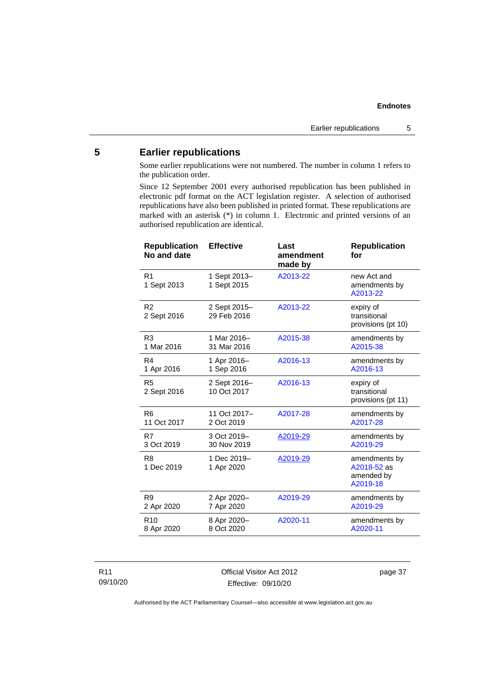#### <span id="page-42-0"></span>**5 Earlier republications**

Some earlier republications were not numbered. The number in column 1 refers to the publication order.

Since 12 September 2001 every authorised republication has been published in electronic pdf format on the ACT legislation register. A selection of authorised republications have also been published in printed format. These republications are marked with an asterisk (\*) in column 1. Electronic and printed versions of an authorised republication are identical.

| <b>Republication</b><br>No and date | <b>Effective</b>            | Last<br>amendment<br>made by | <b>Republication</b><br>for                            |
|-------------------------------------|-----------------------------|------------------------------|--------------------------------------------------------|
| R <sub>1</sub><br>1 Sept 2013       | 1 Sept 2013-<br>1 Sept 2015 | A2013-22                     | new Act and<br>amendments by<br>A2013-22               |
| R <sub>2</sub><br>2 Sept 2016       | 2 Sept 2015-<br>29 Feb 2016 | A2013-22                     | expiry of<br>transitional<br>provisions (pt 10)        |
| R <sub>3</sub>                      | 1 Mar 2016-                 | A2015-38                     | amendments by                                          |
| 1 Mar 2016                          | 31 Mar 2016                 |                              | A2015-38                                               |
| R <sub>4</sub>                      | 1 Apr 2016-                 | A2016-13                     | amendments by                                          |
| 1 Apr 2016                          | 1 Sep 2016                  |                              | A2016-13                                               |
| R <sub>5</sub><br>2 Sept 2016       | 2 Sept 2016-<br>10 Oct 2017 | A2016-13                     | expiry of<br>transitional<br>provisions (pt 11)        |
| R <sub>6</sub>                      | 11 Oct 2017-                | A2017-28                     | amendments by                                          |
| 11 Oct 2017                         | 2 Oct 2019                  |                              | A2017-28                                               |
| R7                                  | 3 Oct 2019-                 | A2019-29                     | amendments by                                          |
| 3 Oct 2019                          | 30 Nov 2019                 |                              | A2019-29                                               |
| R <sub>8</sub><br>1 Dec 2019        | 1 Dec 2019-<br>1 Apr 2020   | A2019-29                     | amendments by<br>A2018-52 as<br>amended by<br>A2019-18 |
| R <sub>9</sub>                      | 2 Apr 2020-                 | A2019-29                     | amendments by                                          |
| 2 Apr 2020                          | 7 Apr 2020                  |                              | A2019-29                                               |
| R <sub>10</sub>                     | 8 Apr 2020-                 | A2020-11                     | amendments by                                          |
| 8 Apr 2020                          | 8 Oct 2020                  |                              | A2020-11                                               |

#### R11 09/10/20

Official Visitor Act 2012 Effective: 09/10/20

page 37